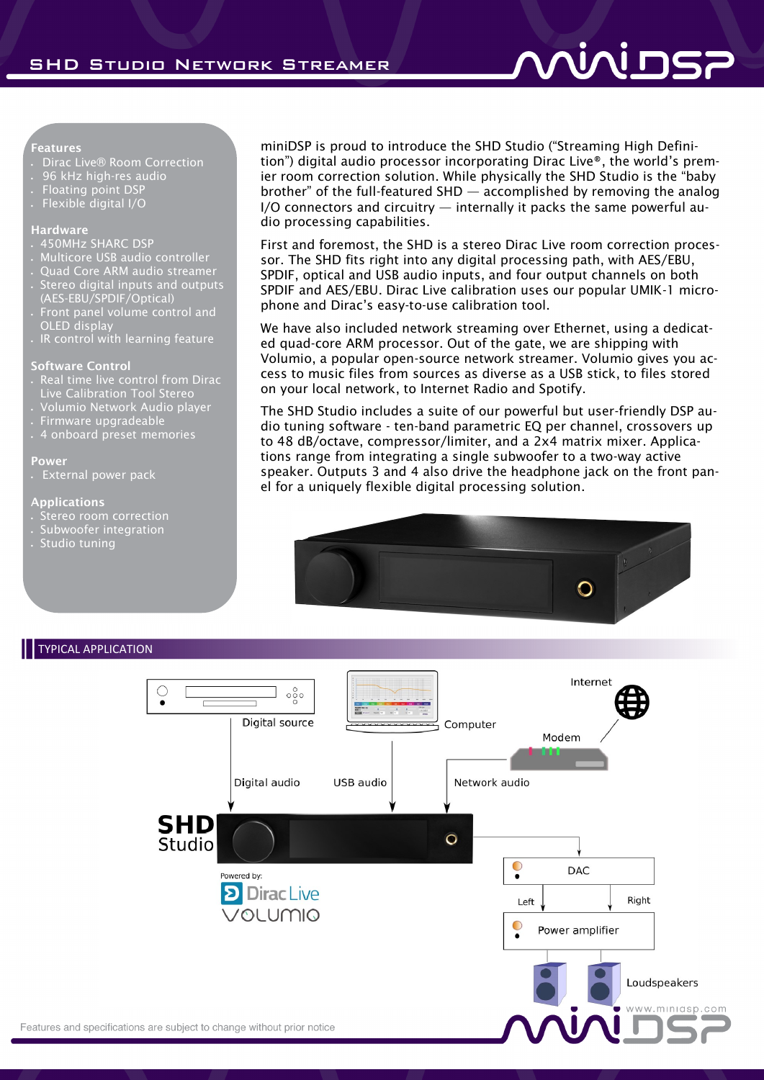#### **Features**

- Dirac Live® Room Correction
- 96 kHz high-res audio
- Floating point DSP
- Flexible digital I/O

#### **Hardware**

- 450MHz SHARC DSP
- Multicore USB audio controller
- Quad Core ARM audio streamer Stereo digital inputs and outputs
- (AES-EBU/SPDIF/Optical) Front panel volume control and
- OLED display IR control with learning feature

### **Software Control**

- Real time live control from Dirac Live Calibration Tool Stereo
- Volumio Network Audio player
- Firmware upgradeable
- 4 onboard preset memories

#### **Power**

External power pack

#### **Applications**

- Stereo room correction
- . Subwoofer integration
- Studio tuning

miniDSP is proud to introduce the SHD Studio ("Streaming High Definition") digital audio processor incorporating Dirac Live®, the world's premier room correction solution. While physically the SHD Studio is the "baby brother" of the full-featured SHD — accomplished by removing the analog I/O connectors and circuitry — internally it packs the same powerful audio processing capabilities.

First and foremost, the SHD is a stereo Dirac Live room correction processor. The SHD fits right into any digital processing path, with AES/EBU, SPDIF, optical and USB audio inputs, and four output channels on both SPDIF and AES/EBU. Dirac Live calibration uses our popular UMIK-1 microphone and Dirac's easy-to-use calibration tool.

We have also included network streaming over Ethernet, using a dedicated quad-core ARM processor. Out of the gate, we are shipping with Volumio, a popular open-source network streamer. Volumio gives you access to music files from sources as diverse as a USB stick, to files stored on your local network, to Internet Radio and Spotify.

The SHD Studio includes a suite of our powerful but user-friendly DSP audio tuning software - ten-band parametric EQ per channel, crossovers up to 48 dB/octave, compressor/limiter, and a 2x4 matrix mixer. Applications range from integrating a single subwoofer to a two-way active speaker. Outputs 3 and 4 also drive the headphone jack on the front panel for a uniquely flexible digital processing solution.



## TYPICAL APPLICATION